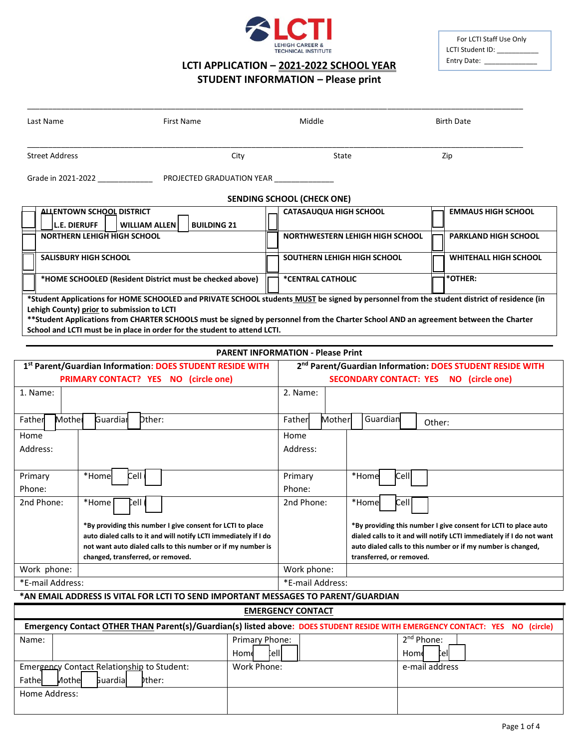

# **LCTI APPLICATION – 2021-2022 SCHOOL YEAR**

## **STUDENT INFORMATION – Please print**

\_\_\_\_\_\_\_\_\_\_\_\_\_\_\_\_\_\_\_\_\_\_\_\_\_\_\_\_\_\_\_\_\_\_\_\_\_\_\_\_\_\_\_\_\_\_\_\_\_\_\_\_\_\_\_\_\_\_\_\_\_\_\_\_\_\_\_\_\_\_\_\_\_\_\_\_\_\_\_\_\_\_\_\_\_\_\_\_\_\_\_\_\_\_\_\_\_\_\_\_\_\_\_\_\_\_\_\_\_\_\_\_\_\_\_\_\_

| For LCTI Staff Use Only |
|-------------------------|
| LCTI Student ID:        |
| Entry Date:             |

| Last Name                                               | <b>First Name</b>                                                                                                                                                                                                                                                                                                                                               | Middle                                   | <b>Birth Date</b>                                                                                               |                              |
|---------------------------------------------------------|-----------------------------------------------------------------------------------------------------------------------------------------------------------------------------------------------------------------------------------------------------------------------------------------------------------------------------------------------------------------|------------------------------------------|-----------------------------------------------------------------------------------------------------------------|------------------------------|
| <b>Street Address</b>                                   | City                                                                                                                                                                                                                                                                                                                                                            | State                                    | Zip                                                                                                             |                              |
|                                                         | Grade in 2021-2022 <b>Example 20 PROJECTED GRADUATION YEAR</b>                                                                                                                                                                                                                                                                                                  |                                          |                                                                                                                 |                              |
|                                                         |                                                                                                                                                                                                                                                                                                                                                                 | <b>SENDING SCHOOL (CHECK ONE)</b>        |                                                                                                                 |                              |
| <b>ALLENTOWN SCHOOL DISTRICT</b><br><b>L.E. DIERUFF</b> | <b>BUILDING 21</b><br><b>WILLIAM ALLEN</b>                                                                                                                                                                                                                                                                                                                      | <b>CATASAUQUA HIGH SCHOOL</b>            |                                                                                                                 | <b>EMMAUS HIGH SCHOOL</b>    |
| <b>NORTHERN LEHIGH HIGH SCHOOL</b>                      |                                                                                                                                                                                                                                                                                                                                                                 | <b>NORTHWESTERN LEHIGH HIGH SCHOOL</b>   |                                                                                                                 | <b>PARKLAND HIGH SCHOOL</b>  |
| <b>SALISBURY HIGH SCHOOL</b>                            |                                                                                                                                                                                                                                                                                                                                                                 | SOUTHERN LEHIGH HIGH SCHOOL              |                                                                                                                 | <b>WHITEHALL HIGH SCHOOL</b> |
|                                                         | *HOME SCHOOLED (Resident District must be checked above)                                                                                                                                                                                                                                                                                                        | *CENTRAL CATHOLIC                        | *OTHER:                                                                                                         |                              |
| Lehigh County) prior to submission to LCTI              | *Student Applications for HOME SCHOOLED and PRIVATE SCHOOL students MUST be signed by personnel from the student district of residence (in<br>**Student Applications from CHARTER SCHOOLS must be signed by personnel from the Charter School AND an agreement between the Charter<br>School and LCTI must be in place in order for the student to attend LCTI. |                                          |                                                                                                                 |                              |
|                                                         |                                                                                                                                                                                                                                                                                                                                                                 | <b>PARENT INFORMATION - Please Print</b> |                                                                                                                 |                              |
|                                                         | 1st Parent/Guardian Information: DOES STUDENT RESIDE WITH<br><b>PRIMARY CONTACT? YES NO (circle one)</b>                                                                                                                                                                                                                                                        |                                          | 2 <sup>nd</sup> Parent/Guardian Information: DOES STUDENT RESIDE WITH<br>SECONDARY CONTACT: YES NO (circle one) |                              |
| .  .                                                    |                                                                                                                                                                                                                                                                                                                                                                 | $ -$                                     |                                                                                                                 |                              |

| 1. Name:         |                                                                  | 2. Name:         |                                                                      |
|------------------|------------------------------------------------------------------|------------------|----------------------------------------------------------------------|
| Mother<br>Father | Dther:<br>Guardian                                               | Mother<br>Father | Guardian<br>Other:                                                   |
| Home             |                                                                  | Home             |                                                                      |
| Address:         |                                                                  | Address:         |                                                                      |
|                  |                                                                  |                  |                                                                      |
| Primary          | Cell<br>*Home                                                    | Primary          | <b>Cell</b><br>*Home                                                 |
| Phone:           |                                                                  | Phone:           |                                                                      |
| 2nd Phone:       | Cell (<br>*Home                                                  | 2nd Phone:       | Cell I<br>*Home                                                      |
|                  | *By providing this number I give consent for LCTI to place       |                  | *By providing this number I give consent for LCTI to place auto      |
|                  | auto dialed calls to it and will notify LCTI immediately if I do |                  | dialed calls to it and will notify LCTI immediately if I do not want |
|                  | not want auto dialed calls to this number or if my number is     |                  | auto dialed calls to this number or if my number is changed,         |
|                  | changed, transferred, or removed.                                |                  | transferred, or removed.                                             |
| Work phone:      |                                                                  | Work phone:      |                                                                      |
| *E-mail Address: |                                                                  | *E-mail Address: |                                                                      |

### **\*AN EMAIL ADDRESS IS VITAL FOR LCTI TO SEND IMPORTANT MESSAGES TO PARENT/GUARDIAN**

| <b>EMERGENCY CONTACT</b>                                                                                                     |                |                        |  |
|------------------------------------------------------------------------------------------------------------------------------|----------------|------------------------|--|
| Emergency Contact OTHER THAN Parent(s)/Guardian(s) listed above: DOES STUDENT RESIDE WITH EMERGENCY CONTACT: YES NO (circle) |                |                        |  |
| Name:                                                                                                                        | Primary Phone: | 2 <sup>nd</sup> Phone: |  |
|                                                                                                                              | telll<br>Home  | Cell<br>Home           |  |
| Emergency Contact Relationship to Student:                                                                                   | Work Phone:    | e-mail address         |  |
| <b>Guardial</b><br>bther:<br>Fathel<br>Mothel                                                                                |                |                        |  |
| Home Address:                                                                                                                |                |                        |  |
|                                                                                                                              |                |                        |  |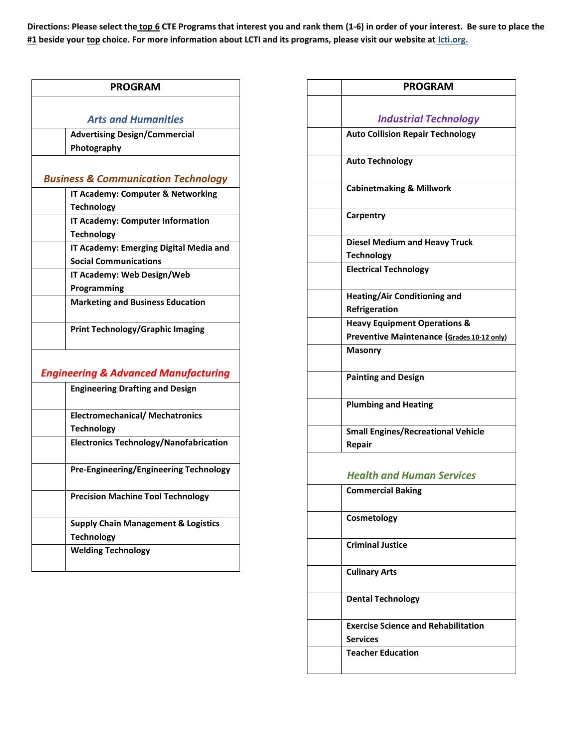**Directions: Please select the top 6 CTE Programs that interest you and rank them (1-6) in order of your interest. Be sure to place the #1 beside your top choice. For more information about LCTI and its programs, please visit our website at lcti.org.** 

| <b>PROGRAM</b>                                  |
|-------------------------------------------------|
|                                                 |
| <b>Arts and Humanities</b>                      |
| <b>Advertising Design/Commercial</b>            |
| Photography                                     |
|                                                 |
| <b>Business &amp; Communication Technology</b>  |
| IT Academy: Computer & Networking               |
| <b>Technology</b>                               |
| IT Academy: Computer Information                |
| <b>Technology</b>                               |
| IT Academy: Emerging Digital Media and          |
| <b>Social Communications</b>                    |
| IT Academy: Web Design/Web                      |
| Programming                                     |
| <b>Marketing and Business Education</b>         |
| <b>Print Technology/Graphic Imaging</b>         |
| <b>Engineering &amp; Advanced Manufacturing</b> |
| <b>Engineering Drafting and Design</b>          |
| <b>Electromechanical/ Mechatronics</b>          |
| <b>Technology</b>                               |
| <b>Electronics Technology/Nanofabrication</b>   |
| <b>Pre-Engineering/Engineering Technology</b>   |
| <b>Precision Machine Tool Technology</b>        |
| <b>Supply Chain Management &amp; Logistics</b>  |
| <b>Technology</b>                               |
| <b>Welding Technology</b>                       |
|                                                 |

| <b>PROGRAM</b>                                                |
|---------------------------------------------------------------|
|                                                               |
| <b>Industrial Technology</b>                                  |
| <b>Auto Collision Repair Technology</b>                       |
| <b>Auto Technology</b>                                        |
| <b>Cabinetmaking &amp; Millwork</b>                           |
| Carpentry                                                     |
| <b>Diesel Medium and Heavy Truck</b>                          |
| <b>Technology</b>                                             |
| <b>Electrical Technology</b>                                  |
| <b>Heating/Air Conditioning and</b>                           |
| Refrigeration                                                 |
| <b>Heavy Equipment Operations &amp;</b>                       |
| Preventive Maintenance (Grades 10-12 only)                    |
| <b>Masonry</b>                                                |
| <b>Painting and Design</b>                                    |
| <b>Plumbing and Heating</b>                                   |
| <b>Small Engines/Recreational Vehicle</b><br>Repair           |
| <b>Health and Human Services</b>                              |
| <b>Commercial Baking</b>                                      |
| Cosmetology                                                   |
| <b>Criminal Justice</b>                                       |
| <b>Culinary Arts</b>                                          |
| <b>Dental Technology</b>                                      |
| <b>Exercise Science and Rehabilitation</b><br><b>Services</b> |
| <b>Teacher Education</b>                                      |
|                                                               |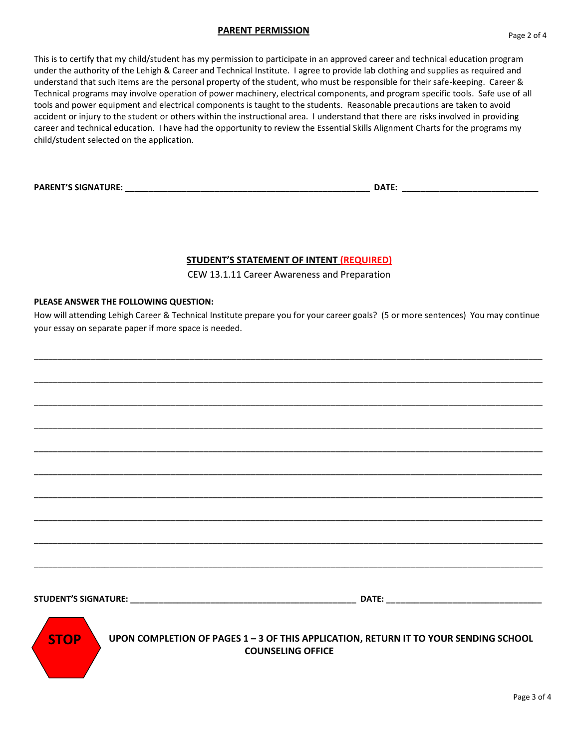#### **PARENT PERMISSION**

This is to certify that my child/student has my permission to participate in an approved career and technical education program under the authority of the Lehigh & Career and Technical Institute. I agree to provide lab clothing and supplies as required and understand that such items are the personal property of the student, who must be responsible for their safe-keeping. Career & Technical programs may involve operation of power machinery, electrical components, and program specific tools. Safe use of all tools and power equipment and electrical components is taught to the students. Reasonable precautions are taken to avoid accident or injury to the student or others within the instructional area. I understand that there are risks involved in providing career and technical education. I have had the opportunity to review the Essential Skills Alignment Charts for the programs my child/student selected on the application.

**PARENT'S SIGNATURE: \_\_\_\_\_\_\_\_\_\_\_\_\_\_\_\_\_\_\_\_\_\_\_\_\_\_\_\_\_\_\_\_\_\_\_\_\_\_\_\_\_\_\_\_\_\_\_\_\_\_\_\_ DATE: \_\_\_\_\_\_\_\_\_\_\_\_\_\_\_\_\_\_\_\_\_\_\_\_\_\_\_\_\_**

### **STUDENT'S STATEMENT OF INTENT (REQUIRED)**

CEW 13.1.11 Career Awareness and Preparation

#### **PLEASE ANSWER THE FOLLOWING QUESTION:**

How will attending Lehigh Career & Technical Institute prepare you for your career goals? (5 or more sentences) You may continue your essay on separate paper if more space is needed.

\_\_\_\_\_\_\_\_\_\_\_\_\_\_\_\_\_\_\_\_\_\_\_\_\_\_\_\_\_\_\_\_\_\_\_\_\_\_\_\_\_\_\_\_\_\_\_\_\_\_\_\_\_\_\_\_\_\_\_\_\_\_\_\_\_\_\_\_\_\_\_\_\_\_\_\_\_\_\_\_\_\_\_\_\_\_\_\_\_\_\_\_\_\_\_\_\_\_\_\_\_\_\_\_\_\_\_\_

\_\_\_\_\_\_\_\_\_\_\_\_\_\_\_\_\_\_\_\_\_\_\_\_\_\_\_\_\_\_\_\_\_\_\_\_\_\_\_\_\_\_\_\_\_\_\_\_\_\_\_\_\_\_\_\_\_\_\_\_\_\_\_\_\_\_\_\_\_\_\_\_\_\_\_\_\_\_\_\_\_\_\_\_\_\_\_\_\_\_\_\_\_\_\_\_\_\_\_\_\_\_\_\_\_\_\_\_

\_\_\_\_\_\_\_\_\_\_\_\_\_\_\_\_\_\_\_\_\_\_\_\_\_\_\_\_\_\_\_\_\_\_\_\_\_\_\_\_\_\_\_\_\_\_\_\_\_\_\_\_\_\_\_\_\_\_\_\_\_\_\_\_\_\_\_\_\_\_\_\_\_\_\_\_\_\_\_\_\_\_\_\_\_\_\_\_\_\_\_\_\_\_\_\_\_\_\_\_\_\_\_\_\_\_\_\_

\_\_\_\_\_\_\_\_\_\_\_\_\_\_\_\_\_\_\_\_\_\_\_\_\_\_\_\_\_\_\_\_\_\_\_\_\_\_\_\_\_\_\_\_\_\_\_\_\_\_\_\_\_\_\_\_\_\_\_\_\_\_\_\_\_\_\_\_\_\_\_\_\_\_\_\_\_\_\_\_\_\_\_\_\_\_\_\_\_\_\_\_\_\_\_\_\_\_\_\_\_\_\_\_\_\_\_\_

\_\_\_\_\_\_\_\_\_\_\_\_\_\_\_\_\_\_\_\_\_\_\_\_\_\_\_\_\_\_\_\_\_\_\_\_\_\_\_\_\_\_\_\_\_\_\_\_\_\_\_\_\_\_\_\_\_\_\_\_\_\_\_\_\_\_\_\_\_\_\_\_\_\_\_\_\_\_\_\_\_\_\_\_\_\_\_\_\_\_\_\_\_\_\_\_\_\_\_\_\_\_\_\_\_\_\_\_

\_\_\_\_\_\_\_\_\_\_\_\_\_\_\_\_\_\_\_\_\_\_\_\_\_\_\_\_\_\_\_\_\_\_\_\_\_\_\_\_\_\_\_\_\_\_\_\_\_\_\_\_\_\_\_\_\_\_\_\_\_\_\_\_\_\_\_\_\_\_\_\_\_\_\_\_\_\_\_\_\_\_\_\_\_\_\_\_\_\_\_\_\_\_\_\_\_\_\_\_\_\_\_\_\_\_\_\_

\_\_\_\_\_\_\_\_\_\_\_\_\_\_\_\_\_\_\_\_\_\_\_\_\_\_\_\_\_\_\_\_\_\_\_\_\_\_\_\_\_\_\_\_\_\_\_\_\_\_\_\_\_\_\_\_\_\_\_\_\_\_\_\_\_\_\_\_\_\_\_\_\_\_\_\_\_\_\_\_\_\_\_\_\_\_\_\_\_\_\_\_\_\_\_\_\_\_\_\_\_\_\_\_\_\_\_\_

\_\_\_\_\_\_\_\_\_\_\_\_\_\_\_\_\_\_\_\_\_\_\_\_\_\_\_\_\_\_\_\_\_\_\_\_\_\_\_\_\_\_\_\_\_\_\_\_\_\_\_\_\_\_\_\_\_\_\_\_\_\_\_\_\_\_\_\_\_\_\_\_\_\_\_\_\_\_\_\_\_\_\_\_\_\_\_\_\_\_\_\_\_\_\_\_\_\_\_\_\_\_\_\_\_\_\_\_

\_\_\_\_\_\_\_\_\_\_\_\_\_\_\_\_\_\_\_\_\_\_\_\_\_\_\_\_\_\_\_\_\_\_\_\_\_\_\_\_\_\_\_\_\_\_\_\_\_\_\_\_\_\_\_\_\_\_\_\_\_\_\_\_\_\_\_\_\_\_\_\_\_\_\_\_\_\_\_\_\_\_\_\_\_\_\_\_\_\_\_\_\_\_\_\_\_\_\_\_\_\_\_\_\_\_\_\_

\_\_\_\_\_\_\_\_\_\_\_\_\_\_\_\_\_\_\_\_\_\_\_\_\_\_\_\_\_\_\_\_\_\_\_\_\_\_\_\_\_\_\_\_\_\_\_\_\_\_\_\_\_\_\_\_\_\_\_\_\_\_\_\_\_\_\_\_\_\_\_\_\_\_\_\_\_\_\_\_\_\_\_\_\_\_\_\_\_\_\_\_\_\_\_\_\_\_\_\_\_\_\_\_\_\_\_\_

**STUDENT'S SIGNATURE: \_\_\_\_\_\_\_\_\_\_\_\_\_\_\_\_\_\_\_\_\_\_\_\_\_\_\_\_\_\_\_\_\_\_\_\_\_\_\_\_\_\_\_\_\_\_\_\_ DATE: \_\_\_\_\_\_\_\_\_\_\_\_\_\_\_\_\_\_\_\_\_\_\_\_\_\_\_\_\_\_\_\_\_**



 **UPON COMPLETION OF PAGES 1 – 3 OF THIS APPLICATION, RETURN IT TO YOUR SENDING SCHOOL COUNSELING OFFICE**